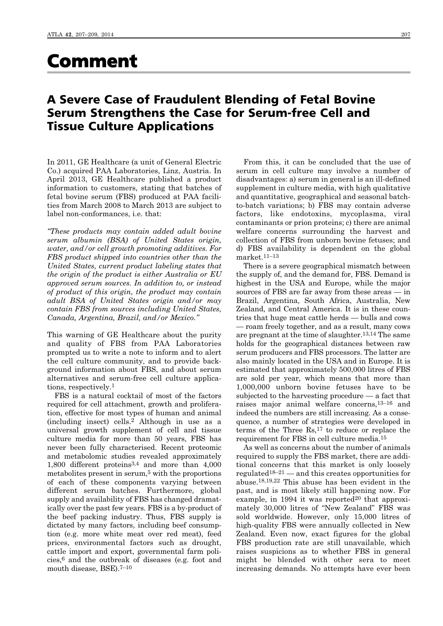## Comment

## A Severe Case of Fraudulent Blending of Fetal Bovine Serum Strengthens the Case for Serum-free Cell and Tissue Culture Applications

In 2011, GE Healthcare (a unit of General Electric Co.) acquired PAA Laboratories, Linz, Austria. In April 2013, GE Healthcare published a product information to customers, stating that batches of fetal bovine serum (FBS) produced at PAA facilities from March 2008 to March 2013 are subject to label non-conformances, i.e. that:

*"These products may contain added adult bovine serum albumin (BSA) of United States origin, water, and/or cell growth promoting additives. For FBS product shipped into countries other than the United States, current product labeling states that the origin of the product is either Australia or EU approved serum sources. In addition to, or instead of product of this origin, the product may contain adult BSA of United States origin and/or may contain FBS from sources including United States, Canada, Argentina, Brazil, and/or Mexico."* 

This warning of GE Healthcare about the purity and quality of FBS from PAA Laboratories prompted us to write a note to inform and to alert the cell culture community, and to provide background information about FBS, and about serum alternatives and serum-free cell culture applications, respectively.1

FBS is a natural cocktail of most of the factors required for cell attachment, growth and proliferation, effective for most types of human and animal (including insect) cells.2 Although in use as a universal growth supplement of cell and tissue culture media for more than 50 years, FBS has never been fully characterised. Recent proteomic and metabolomic studies revealed approximately 1,800 different proteins3,4 and more than 4,000 metabolites present in serum, $5$  with the proportions of each of these components varying between different serum batches. Furthermore, global supply and availability of FBS has changed dramatically over the past few years. FBS is a by-product of the beef packing industry. Thus, FBS supply is dictated by many factors, including beef consumption (e.g. more white meat over red meat), feed prices, environmental factors such as drought, cattle import and export, governmental farm policies,6 and the outbreak of diseases (e.g. foot and mouth disease, BSE).<sup>7-10</sup>

From this, it can be concluded that the use of serum in cell culture may involve a number of disadvantages: a) serum in general is an ill-defined supplement in culture media, with high qualitative and quantitative, geographical and seasonal batchto-batch variations; b) FBS may contain adverse factors, like endotoxins, mycoplasma, viral contaminants or prion proteins; c) there are animal welfare concerns surrounding the harvest and collection of FBS from unborn bovine fetuses; and d) FBS availability is dependent on the global market.11–13

There is a severe geographical mismatch between the supply of, and the demand for, FBS. Demand is highest in the USA and Europe, while the major sources of FBS are far away from these areas — in Brazil, Argentina, South Africa, Australia, New Zealand, and Central America. It is in these countries that huge meat cattle herds — bulls and cows — roam freely together, and as a result, many cows are pregnant at the time of slaughter.13,14 The same holds for the geographical distances between raw serum producers and FBS processors. The latter are also mainly located in the USA and in Europe. It is estimated that approximately 500,000 litres of FBS are sold per year, which means that more than 1,000,000 unborn bovine fetuses have to be subjected to the harvesting procedure — a fact that raises major animal welfare concerns,13–16 and indeed the numbers are still increasing. As a consequence, a number of strategies were developed in terms of the Three  $\text{Rs},^{17}$  to reduce or replace the requirement for FBS in cell culture media.15

As well as concerns about the number of animals required to supply the FBS market, there are additional concerns that this market is only loosely regulated<sup>18–21</sup> — and this creates opportunities for abuse.18,19,22 This abuse has been evident in the past, and is most likely still happening now. For example, in 1994 it was reported $20$  that approximately 30,000 litres of "New Zealand" FBS was sold worldwide. However, only 15,000 litres of high-quality FBS were annually collected in New Zealand. Even now, exact figures for the global FBS production rate are still unavailable, which raises suspicions as to whether FBS in general might be blended with other sera to meet increasing demands. No attempts have ever been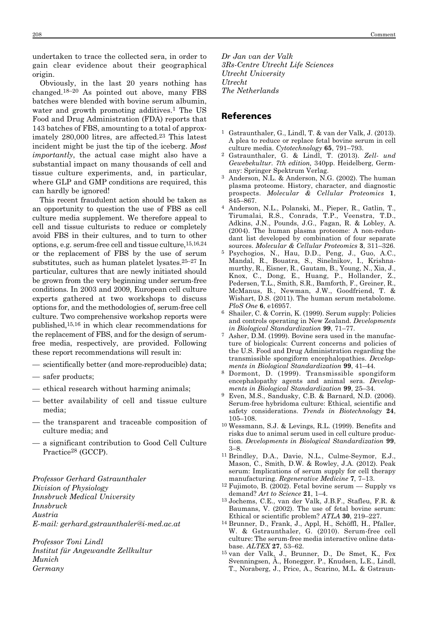undertaken to trace the collected sera, in order to gain clear evidence about their geographical origin.

Obviously, in the last 20 years nothing has changed.18–20 As pointed out above, many FBS batches were blended with bovine serum albumin, water and growth promoting additives.<sup>1</sup> The US Food and Drug Administration (FDA) reports that 143 batches of FBS, amounting to a total of approximately 280,000 litres, are affected.23 This latest incident might be just the tip of the iceberg. *Most importantly*, the actual case might also have a substantial impact on many thousands of cell and tissue culture experiments, and, in particular, where GLP and GMP conditions are required, this can hardly be ignored!

This recent fraudulent action should be taken as an opportunity to question the use of FBS as cell culture media supplement. We therefore appeal to cell and tissue culturists to reduce or completely avoid FBS in their cultures, and to turn to other options, e.g. serum-free cell and tissue culture,15,16,24 or the replacement of FBS by the use of serum substitutes, such as human platelet lysates.25–27 In particular, cultures that are newly initiated should be grown from the very beginning under serum-free conditions. In 2003 and 2009, European cell culture experts gathered at two workshops to discuss options for, and the methodologies of, serum-free cell culture. Two comprehensive workshop reports were published,15,16 in which clear recommendations for the replacement of FBS, and for the design of serumfree media, respectively, are provided. Following these report recommendations will result in:

- scientifically better (and more-reproducible) data;
- safer products;
- ethical research without harming animals;
- better availability of cell and tissue culture media;
- the transparent and traceable composition of culture media; and
- a significant contribution to Good Cell Culture Practice28 (GCCP).

*Professor Gerhard Gstraunthaler Division of Physiology Innsbruck Medical University Innsbruck Austria E-mail: gerhard.gstraunthaler@i-med.ac.at*

*Professor Toni Lindl Institut für Angewandte Zellkultur Munich Germany*

*Dr Jan van der Valk 3Rs-Centre Utrecht Life Sciences Utrecht University Utrecht The Netherlands*

## References

- 1 Gstraunthaler, G., Lindl, T. & van der Valk, J. (2013). A plea to reduce or replace fetal bovine serum in cell culture media. *Cytotechnology* **65**, 791–793.
- 2 Gstraunthaler, G. & Lindl, T. (2013). *Zell- und Gewebekultur. 7th edition,* 340pp. Heidelberg, Germ any: Springer Spektrum Verlag.
- Anderson, N.L. & Anderson, N.G. (2002). The human plasma proteome. History, character, and diagnostic prospects. *Molecular & Cellular Proteomics* **1**, 845–867.
- 4 Anderson, N.L., Polanski, M., Pieper, R., Gatlin, T., Tirumalai, R.S., Conrads, T.P., Veenstra, T.D., Adkins, J.N., Pounds, J.G., Fagan, R. & Lobley, A. (2004). The human plasma proteome: A non-redundant list developed by combination of four separate sources. *Molecular & Cellular Proteomics* **3**, 311–326.
- 5 Psychogios, N., Hau, D.D., Peng, J., Guo, A.C., Mandal, R., Bouatra, S., Sinelnikov, I., Krishnamurthy, R., Eisner, R., Gautam, B., Young, N., Xia, J., Knox, C., Dong, E., Huang, P., Hollander, Z., Pedersen, T.L., Smith, S.R., Bamforth, F., Greiner, R., McManus, B., Newman, J.W., Goodfriend, T. & Wishart, D.S. (2011). The human serum metabolome. *PloS One* **6**, e16957.
- 6 Shailer, C. & Corrin, K. (1999). Serum supply: Policies and controls operating in New Zealand. *Developments in Biological Standardization* **99**, 71–77.
- 7 Asher, D.M. (1999). Bovine sera used in the manufacture of biologicals: Current concerns and policies of the U.S. Food and Drug Administration regarding the transmissible spongiform encephalopathies. *Develop ments in Biological Standardization* **99**, 41–44.
- 8 Dormont, D. (1999). Transmissible spongiform encephalopathy agents and animal sera. *Developments in Biological Standardization* **99**, 25–34.
- 9 Even, M.S., Sandusky, C.B. & Barnard, N.D. (2006). Serum-free hybridoma culture: Ethical, scientific and safety considerations. *Trends in Biotechnology* **24**, 105–108.
- 10 Wessmann, S.J. & Levings, R.L. (1999). Benefits and risks due to animal serum used in cell culture production. *Developments in Biological Standardization* **99**, 3–8.
- 11 Brindley, D.A., Davie, N.L., Culme-Seymor, E.J., Mason, C., Smith, D.W. & Rowley, J.A. (2012). Peak serum: Implications of serum supply for cell therapy manufacturing. *Regenerative Medicine* **7**, 7–13.
- $12$  Fujimoto, B. (2002). Fetal bovine serum Supply vs demand? *Art to Science* **21**, 1–4.
- 13 Jochems, C.E., van der Valk, J.B.F., Stafleu, F.R. & Baumans, V. (2002). The use of fetal bovine serum: Ethical or scientific problem? *ATLA* **30**, 219–227.
- 14 Brunner, D., Frank, J., Appl, H., Schöffl, H., Pfaller, W. & Gstraunthaler, G. (2010). Serum-free cell culture: The serum-free media interactive online database. *ALTEX* **27**, 53–62.
- 15 van der Valk, J., Brunner, D., De Smet, K., Fex Svenningsen, Å., Honegger, P., Knudsen, L.E., Lindl, T., Noraberg, J., Price, A., Scarino, M.L. & Gstraun-